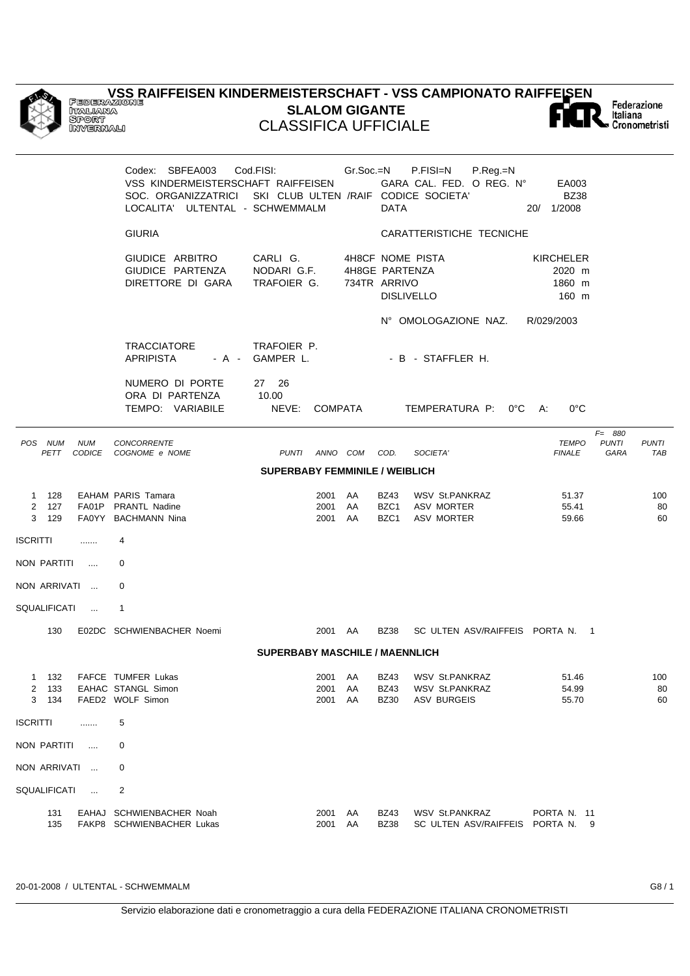## **VSS RAIFFEISEN KINDERMEISTERSCHAFT - VSS CAMPIONATO RAIFFEISEN** Federazione<br>Italiana<br>Scronometristi **SLALOM GIGANTE** CLASSIFICA UFFICIALE

| <b>GIURIA</b><br>CARATTERISTICHE TECNICHE<br>GIUDICE ARBITRO<br>CARLI G.<br>4H8CF NOME PISTA<br><b>KIRCHELER</b><br>GIUDICE PARTENZA<br>NODARI G.F.<br>4H8GE PARTENZA<br>2020 m<br>DIRETTORE DI GARA<br>TRAFOIER G.<br>734TR ARRIVO<br>1860 m<br><b>DISLIVELLO</b><br>160 m<br>N° OMOLOGAZIONE NAZ.<br>R/029/2003<br><b>TRACCIATORE</b><br>TRAFOIER P.<br><b>APRIPISTA</b><br>- A - GAMPER L.<br>- B - STAFFLER H.<br>NUMERO DI PORTE<br>27 26<br>ORA DI PARTENZA<br>10.00<br>TEMPO: VARIABILE<br>NEVE:<br><b>COMPATA</b><br>TEMPERATURA P: 0°C<br>$0^{\circ}$ C<br>A:<br>$F = 880$<br><b>NUM</b><br>CONCORRENTE<br><b>PUNTI</b><br>POS NUM<br><b>TEMPO</b><br>COD.<br>SOCIETA'<br><b>PETT</b><br>CODICE COGNOME e NOME<br>PUNTI ANNO COM<br><b>FINALE</b><br>GARA<br><b>SUPERBABY FEMMINILE / WEIBLICH</b><br>1 128<br>EAHAM PARIS Tamara<br>2001 AA<br><b>BZ43</b><br><b>WSV St.PANKRAZ</b><br>51.37<br>2 127<br>FA01P PRANTL Nadine<br>AA<br>BZC1<br><b>ASV MORTER</b><br>55.41<br>2001<br>AA<br>BZC1<br>ASV MORTER<br>3 129<br>FA0YY BACHMANN Nina<br>2001<br>59.66<br>ISCRITTI<br>4<br>.<br>NON PARTITI<br>0<br>$\cdots$<br>NON ARRIVATI<br>0<br>SQUALIFICATI<br>1<br>$\sim$<br>130<br>E02DC SCHWIENBACHER Noemi<br>2001 AA<br><b>BZ38</b><br>SC ULTEN ASV/RAIFFEIS PORTA N. 1<br><b>SUPERBABY MASCHILE / MAENNLICH</b><br>1 132<br>FAFCE TUMFER Lukas<br><b>BZ43</b><br><b>WSV St.PANKRAZ</b><br>51.46<br>2001 AA<br><b>BZ43</b><br>54.99<br>2 133<br>EAHAC STANGL Simon<br>2001<br>AA<br>WSV St.PANKRAZ<br>134<br>FAED2 WOLF Simon<br><b>BZ30</b><br>3<br>2001<br>AA<br><b>ASV BURGEIS</b><br>55.70<br>ISCRITTI<br>5<br>.<br>NON PARTITI<br>0<br>$\cdots$<br>NON ARRIVATI<br>0<br>$\sim$<br>SQUALIFICATI<br>$\overline{2}$<br>$\cdots$<br><b>BZ43</b><br>131<br>EAHAJ SCHWIENBACHER Noah<br>2001<br>AA<br>WSV St.PANKRAZ<br>PORTA N. 11<br>135<br>FAKP8 SCHWIENBACHER Lukas<br>2001<br>AA<br>SC ULTEN ASV/RAIFFEIS PORTA N. 9 |  | Codex: SBFEA003<br>VSS KINDERMEISTERSCHAFT RAIFFEISEN<br>SOC. ORGANIZZATRICI SKI CLUB ULTEN /RAIF CODICE SOCIETA'<br>LOCALITA' ULTENTAL - SCHWEMMALM | Cod.FISI: | Gr.Soc.=N | <b>DATA</b> | P.FISI=N<br>P.Reg.=N<br>GARA CAL. FED. O REG. N° | EA003<br><b>BZ38</b><br>20/ 1/2008 |                 |
|--------------------------------------------------------------------------------------------------------------------------------------------------------------------------------------------------------------------------------------------------------------------------------------------------------------------------------------------------------------------------------------------------------------------------------------------------------------------------------------------------------------------------------------------------------------------------------------------------------------------------------------------------------------------------------------------------------------------------------------------------------------------------------------------------------------------------------------------------------------------------------------------------------------------------------------------------------------------------------------------------------------------------------------------------------------------------------------------------------------------------------------------------------------------------------------------------------------------------------------------------------------------------------------------------------------------------------------------------------------------------------------------------------------------------------------------------------------------------------------------------------------------------------------------------------------------------------------------------------------------------------------------------------------------------------------------------------------------------------------------------------------------------------------------------------------------------------------------------------------------------------------------------------------------------------------|--|------------------------------------------------------------------------------------------------------------------------------------------------------|-----------|-----------|-------------|--------------------------------------------------|------------------------------------|-----------------|
|                                                                                                                                                                                                                                                                                                                                                                                                                                                                                                                                                                                                                                                                                                                                                                                                                                                                                                                                                                                                                                                                                                                                                                                                                                                                                                                                                                                                                                                                                                                                                                                                                                                                                                                                                                                                                                                                                                                                      |  |                                                                                                                                                      |           |           |             |                                                  |                                    |                 |
|                                                                                                                                                                                                                                                                                                                                                                                                                                                                                                                                                                                                                                                                                                                                                                                                                                                                                                                                                                                                                                                                                                                                                                                                                                                                                                                                                                                                                                                                                                                                                                                                                                                                                                                                                                                                                                                                                                                                      |  |                                                                                                                                                      |           |           |             |                                                  |                                    |                 |
|                                                                                                                                                                                                                                                                                                                                                                                                                                                                                                                                                                                                                                                                                                                                                                                                                                                                                                                                                                                                                                                                                                                                                                                                                                                                                                                                                                                                                                                                                                                                                                                                                                                                                                                                                                                                                                                                                                                                      |  |                                                                                                                                                      |           |           |             |                                                  |                                    |                 |
|                                                                                                                                                                                                                                                                                                                                                                                                                                                                                                                                                                                                                                                                                                                                                                                                                                                                                                                                                                                                                                                                                                                                                                                                                                                                                                                                                                                                                                                                                                                                                                                                                                                                                                                                                                                                                                                                                                                                      |  |                                                                                                                                                      |           |           |             |                                                  |                                    |                 |
|                                                                                                                                                                                                                                                                                                                                                                                                                                                                                                                                                                                                                                                                                                                                                                                                                                                                                                                                                                                                                                                                                                                                                                                                                                                                                                                                                                                                                                                                                                                                                                                                                                                                                                                                                                                                                                                                                                                                      |  |                                                                                                                                                      |           |           |             |                                                  |                                    |                 |
|                                                                                                                                                                                                                                                                                                                                                                                                                                                                                                                                                                                                                                                                                                                                                                                                                                                                                                                                                                                                                                                                                                                                                                                                                                                                                                                                                                                                                                                                                                                                                                                                                                                                                                                                                                                                                                                                                                                                      |  |                                                                                                                                                      |           |           |             |                                                  |                                    | PUNTI<br>TAB    |
|                                                                                                                                                                                                                                                                                                                                                                                                                                                                                                                                                                                                                                                                                                                                                                                                                                                                                                                                                                                                                                                                                                                                                                                                                                                                                                                                                                                                                                                                                                                                                                                                                                                                                                                                                                                                                                                                                                                                      |  |                                                                                                                                                      |           |           |             |                                                  |                                    |                 |
|                                                                                                                                                                                                                                                                                                                                                                                                                                                                                                                                                                                                                                                                                                                                                                                                                                                                                                                                                                                                                                                                                                                                                                                                                                                                                                                                                                                                                                                                                                                                                                                                                                                                                                                                                                                                                                                                                                                                      |  |                                                                                                                                                      |           |           |             |                                                  |                                    | 100<br>80<br>60 |
|                                                                                                                                                                                                                                                                                                                                                                                                                                                                                                                                                                                                                                                                                                                                                                                                                                                                                                                                                                                                                                                                                                                                                                                                                                                                                                                                                                                                                                                                                                                                                                                                                                                                                                                                                                                                                                                                                                                                      |  |                                                                                                                                                      |           |           |             |                                                  |                                    |                 |
|                                                                                                                                                                                                                                                                                                                                                                                                                                                                                                                                                                                                                                                                                                                                                                                                                                                                                                                                                                                                                                                                                                                                                                                                                                                                                                                                                                                                                                                                                                                                                                                                                                                                                                                                                                                                                                                                                                                                      |  |                                                                                                                                                      |           |           |             |                                                  |                                    |                 |
|                                                                                                                                                                                                                                                                                                                                                                                                                                                                                                                                                                                                                                                                                                                                                                                                                                                                                                                                                                                                                                                                                                                                                                                                                                                                                                                                                                                                                                                                                                                                                                                                                                                                                                                                                                                                                                                                                                                                      |  |                                                                                                                                                      |           |           |             |                                                  |                                    |                 |
|                                                                                                                                                                                                                                                                                                                                                                                                                                                                                                                                                                                                                                                                                                                                                                                                                                                                                                                                                                                                                                                                                                                                                                                                                                                                                                                                                                                                                                                                                                                                                                                                                                                                                                                                                                                                                                                                                                                                      |  |                                                                                                                                                      |           |           |             |                                                  |                                    |                 |
|                                                                                                                                                                                                                                                                                                                                                                                                                                                                                                                                                                                                                                                                                                                                                                                                                                                                                                                                                                                                                                                                                                                                                                                                                                                                                                                                                                                                                                                                                                                                                                                                                                                                                                                                                                                                                                                                                                                                      |  |                                                                                                                                                      |           |           |             |                                                  |                                    |                 |
|                                                                                                                                                                                                                                                                                                                                                                                                                                                                                                                                                                                                                                                                                                                                                                                                                                                                                                                                                                                                                                                                                                                                                                                                                                                                                                                                                                                                                                                                                                                                                                                                                                                                                                                                                                                                                                                                                                                                      |  |                                                                                                                                                      |           |           |             |                                                  |                                    |                 |
|                                                                                                                                                                                                                                                                                                                                                                                                                                                                                                                                                                                                                                                                                                                                                                                                                                                                                                                                                                                                                                                                                                                                                                                                                                                                                                                                                                                                                                                                                                                                                                                                                                                                                                                                                                                                                                                                                                                                      |  |                                                                                                                                                      |           |           |             |                                                  |                                    | 100<br>80<br>60 |
|                                                                                                                                                                                                                                                                                                                                                                                                                                                                                                                                                                                                                                                                                                                                                                                                                                                                                                                                                                                                                                                                                                                                                                                                                                                                                                                                                                                                                                                                                                                                                                                                                                                                                                                                                                                                                                                                                                                                      |  |                                                                                                                                                      |           |           |             |                                                  |                                    |                 |
|                                                                                                                                                                                                                                                                                                                                                                                                                                                                                                                                                                                                                                                                                                                                                                                                                                                                                                                                                                                                                                                                                                                                                                                                                                                                                                                                                                                                                                                                                                                                                                                                                                                                                                                                                                                                                                                                                                                                      |  |                                                                                                                                                      |           |           |             |                                                  |                                    |                 |
|                                                                                                                                                                                                                                                                                                                                                                                                                                                                                                                                                                                                                                                                                                                                                                                                                                                                                                                                                                                                                                                                                                                                                                                                                                                                                                                                                                                                                                                                                                                                                                                                                                                                                                                                                                                                                                                                                                                                      |  |                                                                                                                                                      |           |           |             |                                                  |                                    |                 |
|                                                                                                                                                                                                                                                                                                                                                                                                                                                                                                                                                                                                                                                                                                                                                                                                                                                                                                                                                                                                                                                                                                                                                                                                                                                                                                                                                                                                                                                                                                                                                                                                                                                                                                                                                                                                                                                                                                                                      |  |                                                                                                                                                      |           |           |             |                                                  |                                    |                 |
|                                                                                                                                                                                                                                                                                                                                                                                                                                                                                                                                                                                                                                                                                                                                                                                                                                                                                                                                                                                                                                                                                                                                                                                                                                                                                                                                                                                                                                                                                                                                                                                                                                                                                                                                                                                                                                                                                                                                      |  |                                                                                                                                                      |           |           | <b>BZ38</b> |                                                  |                                    |                 |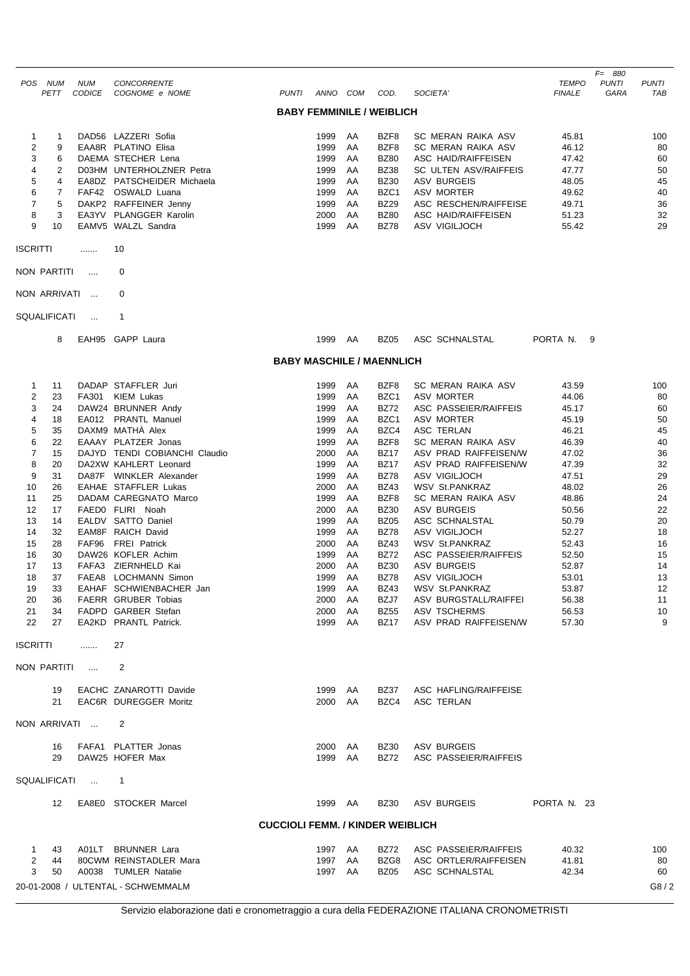|                         | POS NUM<br>PETT | <b>NUM</b>      | CONCORRENTE<br>CODICE COGNOME e NOME                   |                                         | PUNTI ANNO COM     |    | COD.                             | SOCIETA'                             | TEMPO<br><b>FINALE</b> | $F = 880$<br><b>PUNTI</b><br>GARA | <b>PUNTI</b><br>TAB |
|-------------------------|-----------------|-----------------|--------------------------------------------------------|-----------------------------------------|--------------------|----|----------------------------------|--------------------------------------|------------------------|-----------------------------------|---------------------|
|                         |                 |                 |                                                        |                                         |                    |    | <b>BABY FEMMINILE / WEIBLICH</b> |                                      |                        |                                   |                     |
| $\mathbf{1}$            | 1               |                 | DAD56 LAZZERI Sofia                                    |                                         | 1999               | AA | BZF8                             | SC MERAN RAIKA ASV                   | 45.81                  |                                   | 100                 |
| $\overline{\mathbf{c}}$ | 9               |                 | EAA8R PLATINO Elisa                                    |                                         | 1999               | AA | BZF8                             | SC MERAN RAIKA ASV                   | 46.12                  |                                   | 80                  |
| 3                       | 6               |                 | DAEMA STECHER Lena                                     |                                         | 1999               | AA | <b>BZ80</b>                      | ASC HAID/RAIFFEISEN                  | 47.42                  |                                   | 60                  |
| 4                       | 2               |                 | D03HM UNTERHOLZNER Petra                               |                                         | 1999               | AA | <b>BZ38</b>                      | SC ULTEN ASV/RAIFFEIS                | 47.77                  |                                   | 50                  |
| 5                       | 4               |                 | EA8DZ PATSCHEIDER Michaela                             |                                         | 1999               | AA | <b>BZ30</b>                      | <b>ASV BURGEIS</b>                   | 48.05                  |                                   | 45                  |
| 6                       | 7               |                 | FAF42 OSWALD Luana                                     |                                         | 1999               | AA | BZC <sub>1</sub>                 | <b>ASV MORTER</b>                    | 49.62                  |                                   | 40                  |
| $\overline{7}$          | 5               |                 | DAKP2 RAFFEINER Jenny                                  |                                         | 1999               | AA | <b>BZ29</b>                      | ASC RESCHEN/RAIFFEISE                | 49.71                  |                                   | 36                  |
| 8                       | 3               |                 | EA3YV PLANGGER Karolin                                 |                                         | 2000               | AA | <b>BZ80</b>                      | ASC HAID/RAIFFEISEN                  | 51.23                  |                                   | 32                  |
| 9                       | 10              |                 | EAMV5 WALZL Sandra                                     |                                         | 1999               | AA | <b>BZ78</b>                      | ASV VIGILJOCH                        | 55.42                  |                                   | 29                  |
| ISCRITTI                |                 |                 | 10                                                     |                                         |                    |    |                                  |                                      |                        |                                   |                     |
|                         | NON PARTITI     | $\cdots$        | 0                                                      |                                         |                    |    |                                  |                                      |                        |                                   |                     |
|                         | NON ARRIVATI    | $\cdots$        | 0                                                      |                                         |                    |    |                                  |                                      |                        |                                   |                     |
|                         | SQUALIFICATI    | $\ldots$        | $\mathbf{1}$                                           |                                         |                    |    |                                  |                                      |                        |                                   |                     |
|                         | 8               |                 | EAH95 GAPP Laura                                       |                                         | 1999               | AA | <b>BZ05</b>                      | ASC SCHNALSTAL                       | PORTA N.               | -9                                |                     |
|                         |                 |                 |                                                        |                                         |                    |    | <b>BABY MASCHILE / MAENNLICH</b> |                                      |                        |                                   |                     |
| 1                       | 11              |                 | DADAP STAFFLER Juri                                    |                                         | 1999               | AA | BZF8                             | SC MERAN RAIKA ASV                   | 43.59                  |                                   | 100                 |
| $\overline{\mathbf{c}}$ | 23              |                 | FA301 KIEM Lukas                                       |                                         | 1999               | AA | BZC1                             | <b>ASV MORTER</b>                    | 44.06                  |                                   | 80                  |
| 3                       | 24              |                 | DAW24 BRUNNER Andy                                     |                                         | 1999               | AA | <b>BZ72</b>                      | ASC PASSEIER/RAIFFEIS                | 45.17                  |                                   | 60                  |
| 4                       | 18              |                 | EA012 PRANTL Manuel                                    |                                         | 1999               | AA | BZC <sub>1</sub>                 | <b>ASV MORTER</b>                    | 45.19                  |                                   | 50                  |
| 5                       | 35              |                 | DAXM9 MATHA Alex                                       |                                         | 1999               | AA | BZC4                             | ASC TERLAN                           | 46.21                  |                                   | 45                  |
| 6                       | 22              |                 | EAAAY PLATZER Jonas                                    |                                         | 1999               | AA | BZF8                             | SC MERAN RAIKA ASV                   | 46.39                  |                                   | 40                  |
| $\overline{7}$          | 15              |                 | DAJYD TENDI COBIANCHI Claudio                          |                                         | 2000               | AA | <b>BZ17</b>                      | ASV PRAD RAIFFEISEN/W                | 47.02                  |                                   | 36                  |
| 8                       | 20              |                 | DA2XW KAHLERT Leonard                                  |                                         | 1999               | AA | <b>BZ17</b>                      | ASV PRAD RAIFFEISEN/W                | 47.39                  |                                   | 32                  |
| 9                       | 31              |                 | DA87F WINKLER Alexander                                |                                         | 1999               | AA | <b>BZ78</b>                      | ASV VIGILJOCH                        | 47.51                  |                                   | 29                  |
| 10                      | 26              |                 | EAHAE STAFFLER Lukas                                   |                                         | 2000               | AA | <b>BZ43</b>                      | <b>WSV St.PANKRAZ</b>                | 48.02                  |                                   | 26                  |
| 11                      | 25              |                 | DADAM CAREGNATO Marco                                  |                                         | 1999               | AA | BZF8                             | SC MERAN RAIKA ASV                   | 48.86                  |                                   | 24                  |
| 12                      | 17              |                 | FAED0 FLIRI Noah                                       |                                         | 2000               | AA | <b>BZ30</b>                      | <b>ASV BURGEIS</b>                   | 50.56                  |                                   | 22                  |
| 13                      | 14              |                 | EALDV SATTO Daniel                                     |                                         | 1999               | AA | <b>BZ05</b>                      | ASC SCHNALSTAL                       | 50.79                  |                                   | 20                  |
| 14                      | 32              |                 | EAM8F RAICH David                                      |                                         | 1999               | AA | <b>BZ78</b>                      | ASV VIGILJOCH                        | 52.27                  |                                   | 18                  |
| 15                      | 28              |                 | FAF96 FREI Patrick                                     |                                         | 2000               | AA | <b>BZ43</b>                      | WSV St.PANKRAZ                       | 52.43                  |                                   | 16                  |
| 16                      | 30              |                 | DAW26 KOFLER Achim                                     |                                         | 1999               | AA | <b>BZ72</b>                      | ASC PASSEIER/RAIFFEIS                | 52.50                  |                                   | 15                  |
| 17                      | 13              |                 | FAFA3 ZIERNHELD Kai                                    |                                         | 2000               | AA | <b>BZ30</b>                      | <b>ASV BURGEIS</b>                   | 52.87                  |                                   | 14                  |
| 18                      | 37              |                 | FAEA8 LOCHMANN Simon                                   |                                         | 1999               | AA | <b>BZ78</b>                      | ASV VIGILJOCH                        | 53.01                  |                                   | 13                  |
|                         | 19 33           |                 | EAHAF SCHWIENBACHER Jan                                |                                         | 1999 AA            |    | <b>BZ43</b>                      | WSV St.PANKRAZ                       | 53.87                  |                                   | 12                  |
| 20                      | 36              |                 | <b>FAERR GRUBER Tobias</b>                             |                                         | 2000 AA            |    | BZJ7                             | ASV BURGSTALL/RAIFFEI                | 56.38                  |                                   | 11                  |
| 21                      | 34              |                 | FADPD GARBER Stefan                                    |                                         | 2000 AA            |    | <b>BZ55</b>                      | ASV TSCHERMS                         | 56.53                  |                                   | 10                  |
| 22                      | 27              |                 | EA2KD PRANTL Patrick.                                  |                                         | 1999 AA            |    | BZ17                             | ASV PRAD RAIFFEISEN/W                | 57.30                  |                                   | 9                   |
| <b>ISCRITTI</b>         |                 | .               | 27                                                     |                                         |                    |    |                                  |                                      |                        |                                   |                     |
|                         | NON PARTITI     | $\sim 100$      | 2                                                      |                                         |                    |    |                                  |                                      |                        |                                   |                     |
|                         | 19<br>21        |                 | EACHC ZANAROTTI Davide<br><b>EAC6R DUREGGER Moritz</b> |                                         | 1999 AA<br>2000 AA |    | BZ37<br>BZC4                     | ASC HAFLING/RAIFFEISE<br>ASC TERLAN  |                        |                                   |                     |
|                         |                 | NON ARRIVATI    | 2                                                      |                                         |                    |    |                                  |                                      |                        |                                   |                     |
|                         |                 |                 |                                                        |                                         |                    |    |                                  |                                      |                        |                                   |                     |
|                         | 16<br>29        |                 | FAFA1 PLATTER Jonas<br>DAW25 HOFER Max                 |                                         | 2000 AA<br>1999 AA |    | BZ30<br><b>BZ72</b>              | ASV BURGEIS<br>ASC PASSEIER/RAIFFEIS |                        |                                   |                     |
|                         |                 | SQUALIFICATI  1 |                                                        |                                         |                    |    |                                  |                                      |                        |                                   |                     |
|                         | 12              |                 | EA8E0 STOCKER Marcel                                   |                                         | 1999 AA            |    | <b>BZ30</b>                      | ASV BURGEIS                          | PORTA N. 23            |                                   |                     |
|                         |                 |                 |                                                        | <b>CUCCIOLI FEMM. / KINDER WEIBLICH</b> |                    |    |                                  |                                      |                        |                                   |                     |
| $\mathbf{1}$            |                 |                 | 43 A01LT BRUNNER Lara                                  |                                         | 1997 AA            |    | BZ72                             | ASC PASSEIER/RAIFFEIS                | 40.32                  |                                   | 100                 |
| 2                       | 44              |                 | 80CWM REINSTADLER Mara                                 |                                         | 1997 AA            |    | BZG8                             | ASC ORTLER/RAIFFEISEN                | 41.81                  |                                   | 80                  |
| 3                       | 50              |                 | A0038 TUMLER Natalie                                   |                                         | 1997 AA            |    | BZ05                             | ASC SCHNALSTAL                       | 42.34                  |                                   | 60                  |
|                         |                 |                 | 20-01-2008 / ULTENTAL - SCHWEMMALM                     |                                         |                    |    |                                  |                                      |                        |                                   | G8/2                |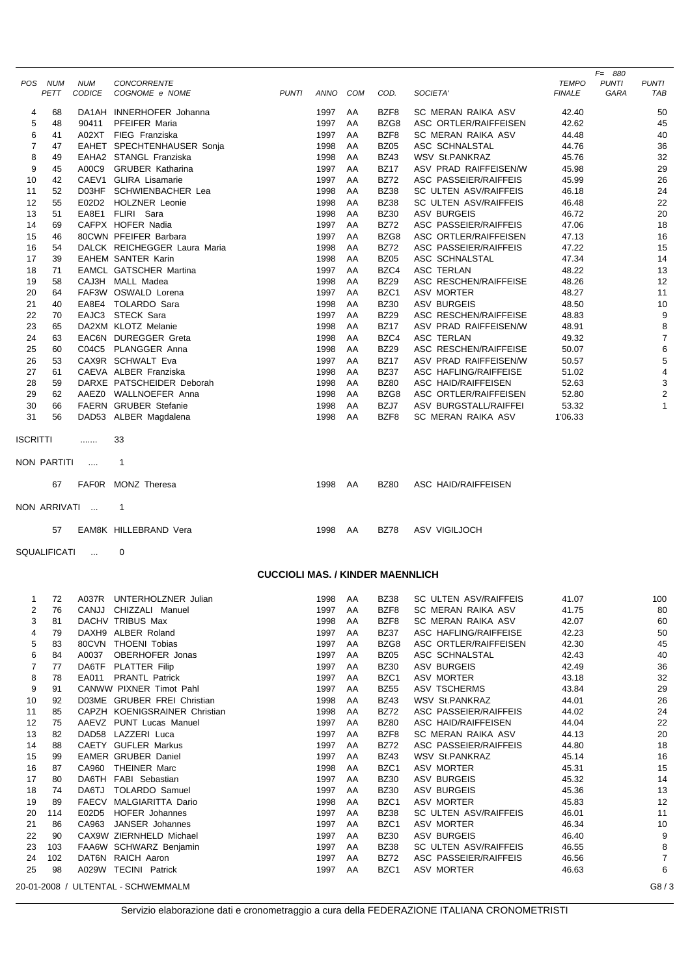|                |             |               |                               |              |      |            |             |                              |               | $F = 880$    |                         |
|----------------|-------------|---------------|-------------------------------|--------------|------|------------|-------------|------------------------------|---------------|--------------|-------------------------|
| POS.           | <b>NUM</b>  | <b>NUM</b>    | <b>CONCORRENTE</b>            |              |      |            |             |                              | <b>TEMPO</b>  | <b>PUNTI</b> | <b>PUNTI</b>            |
|                | PETT        | <b>CODICE</b> | COGNOME e NOME                | <b>PUNTI</b> | ANNO | <b>COM</b> | COD.        | SOCIETA'                     | <b>FINALE</b> | GARA         | <b>TAB</b>              |
| 4              | 68          |               | DA1AH INNERHOFER Johanna      |              | 1997 | AA         | BZF8        | SC MERAN RAIKA ASV           | 42.40         |              | 50                      |
| 5              | 48          | 90411         | PFEIFER Maria                 |              | 1997 | AA         | BZG8        | ASC ORTLER/RAIFFEISEN        | 42.62         |              | 45                      |
| 6              | 41          |               | A02XT FIEG Franziska          |              | 1997 | AA         | BZF8        | SC MERAN RAIKA ASV           | 44.48         |              | 40                      |
| $\overline{7}$ | 47          |               | EAHET SPECHTENHAUSER Sonja    |              | 1998 | AA         | <b>BZ05</b> | ASC SCHNALSTAL               | 44.76         |              | 36                      |
| 8              | 49          |               | EAHA2 STANGL Franziska        |              | 1998 | AA         | <b>BZ43</b> | <b>WSV St.PANKRAZ</b>        | 45.76         |              | 32                      |
| 9              | 45          | A00C9         | <b>GRUBER Katharina</b>       |              | 1997 | AA         | <b>BZ17</b> | ASV PRAD RAIFFEISEN/W        | 45.98         |              | 29                      |
| 10             | 42          |               | CAEV1 GLIRA Lisamarie         |              | 1997 | AA         | <b>BZ72</b> | ASC PASSEIER/RAIFFEIS        | 45.99         |              | 26                      |
| 11             | 52          |               | D03HF SCHWIENBACHER Lea       |              | 1998 | AA         | <b>BZ38</b> | SC ULTEN ASV/RAIFFEIS        | 46.18         |              | 24                      |
| 12             | 55          |               | E02D2 HOLZNER Leonie          |              | 1998 | AA         | <b>BZ38</b> | SC ULTEN ASV/RAIFFEIS        | 46.48         |              | 22                      |
| 13             | 51          |               | EA8E1 FLIRI Sara              |              | 1998 | AA         | <b>BZ30</b> | <b>ASV BURGEIS</b>           | 46.72         |              | 20                      |
| 14             | 69          |               | CAFPX HOFER Nadia             |              | 1997 | AA         | <b>BZ72</b> | <b>ASC PASSEIER/RAIFFEIS</b> | 47.06         |              | 18                      |
| 15             | 46          |               | 80CWN PFEIFER Barbara         |              | 1997 | AA         | BZG8        | ASC ORTLER/RAIFFEISEN        | 47.13         |              | 16                      |
| 16             | 54          |               | DALCK REICHEGGER Laura Maria  |              | 1998 | AA         | <b>BZ72</b> | ASC PASSEIER/RAIFFEIS        | 47.22         |              | 15                      |
| 17             | 39          |               | <b>EAHEM SANTER Karin</b>     |              | 1998 | AA         | <b>BZ05</b> | ASC SCHNALSTAL               | 47.34         |              | 14                      |
| 18             | 71          |               | <b>EAMCL GATSCHER Martina</b> |              | 1997 | AA         | BZC4        | <b>ASC TERLAN</b>            | 48.22         |              | 13                      |
| 19             | 58          |               | CAJ3H MALL Madea              |              | 1998 | AA         | <b>BZ29</b> | ASC RESCHEN/RAIFFEISE        | 48.26         |              | 12                      |
| 20             | 64          |               | FAF3W OSWALD Lorena           |              | 1997 | AA         | BZC1        | ASV MORTER                   | 48.27         |              | 11                      |
| 21             | 40          |               | EA8E4 TOLARDO Sara            |              | 1998 | AA         | <b>BZ30</b> | <b>ASV BURGEIS</b>           | 48.50         |              | 10                      |
| 22             | 70          |               | EAJC3 STECK Sara              |              | 1997 | AA         | <b>BZ29</b> | ASC RESCHEN/RAIFFEISE        | 48.83         |              | 9                       |
| 23             | 65          |               | DA2XM KLOTZ Melanie           |              | 1998 | AA         | <b>BZ17</b> | ASV PRAD RAIFFEISEN/W        | 48.91         |              | 8                       |
| 24             | 63          |               | EAC6N DUREGGER Greta          |              | 1998 | AA         | BZC4        | <b>ASC TERLAN</b>            | 49.32         |              | $\overline{7}$          |
| 25             | 60          |               | C04C5 PLANGGER Anna           |              | 1998 | AA         | <b>BZ29</b> | ASC RESCHEN/RAIFFEISE        | 50.07         |              | 6                       |
| 26             | 53          |               | CAX9R SCHWALT Eva             |              | 1997 | AA         | <b>BZ17</b> | ASV PRAD RAIFFEISEN/W        | 50.57         |              | 5                       |
| 27             | 61          |               | CAEVA ALBER Franziska         |              | 1998 | AA         | <b>BZ37</b> | ASC HAFLING/RAIFFEISE        | 51.02         |              | 4                       |
| 28             | 59          |               | DARXE PATSCHEIDER Deborah     |              | 1998 | AA         | <b>BZ80</b> | ASC HAID/RAIFFEISEN          | 52.63         |              | 3                       |
| 29             | 62          |               | AAEZ0 WALLNOEFER Anna         |              | 1998 | AA         | BZG8        | ASC ORTLER/RAIFFEISEN        | 52.80         |              | $\overline{\mathbf{c}}$ |
| 30             | 66          |               | FAERN GRUBER Stefanie         |              | 1998 | AA         | BZJ7        | ASV BURGSTALL/RAIFFEI        | 53.32         |              | $\mathbf{1}$            |
| 31             | 56          |               | DAD53 ALBER Magdalena         |              | 1998 | AA         | BZF8        | SC MERAN RAIKA ASV           | 1'06.33       |              |                         |
| ISCRITTI       |             | .             | 33                            |              |      |            |             |                              |               |              |                         |
|                | NON PARTITI | $\cdots$      | $\mathbf{1}$                  |              |      |            |             |                              |               |              |                         |
|                | 67          | <b>FAF0R</b>  | MONZ Theresa                  |              | 1998 | AA         | <b>BZ80</b> | ASC HAID/RAIFFEISEN          |               |              |                         |
|                |             |               |                               |              |      |            |             |                              |               |              |                         |
|                |             | NON ARRIVATI  | $\mathbf 1$                   |              |      |            |             |                              |               |              |                         |
|                | 57          |               | EAM8K HILLEBRAND Vera         |              | 1998 | AA         | <b>BZ78</b> | ASV VIGILJOCH                |               |              |                         |
|                |             |               |                               |              |      |            |             |                              |               |              |                         |

SQUALIFICATI ... 0

## **CUCCIOLI MAS. / KINDER MAENNLICH**

|    | 72  | UNTERHOLZNER Julian<br>A037R       | 1998 | AA | <b>BZ38</b> | SC ULTEN ASV/RAIFFEIS        | 41.07 | 100  |
|----|-----|------------------------------------|------|----|-------------|------------------------------|-------|------|
| 2  | 76  | CHIZZALI Manuel<br>CANJJ           | 1997 | AA | BZF8        | SC MERAN RAIKA ASV           | 41.75 | 80   |
| 3  | 81  | DACHV TRIBUS Max                   | 1998 | AA | BZF8        | SC MERAN RAIKA ASV           | 42.07 | 60   |
| 4  | 79  | DAXH9 ALBER Roland                 | 1997 | AA | <b>BZ37</b> | ASC HAFLING/RAIFFEISE        | 42.23 | 50   |
| 5  | 83  | <b>THOENI Tobias</b><br>80CVN      | 1997 | AA | BZG8        | ASC ORTLER/RAIFFEISEN        | 42.30 | 45   |
| 6  | 84  | OBERHOFER Jonas<br>A0037           | 1997 | AA | <b>BZ05</b> | ASC SCHNALSTAL               | 42.43 | 40   |
| 7  | 77  | DA6TF PLATTER Filip                | 1997 | AA | <b>BZ30</b> | <b>ASV BURGEIS</b>           | 42.49 | 36   |
| 8  | 78  | <b>PRANTL Patrick</b><br>EA011     | 1997 | AA | BZC1        | ASV MORTER                   | 43.18 | 32   |
| 9  | 91  | CANWW PIXNER Timot Pahl            | 1997 | AA | <b>BZ55</b> | <b>ASV TSCHERMS</b>          | 43.84 | 29   |
| 10 | 92  | D03ME GRUBER FREI Christian        | 1998 | AA | <b>BZ43</b> | <b>WSV St.PANKRAZ</b>        | 44.01 | 26   |
| 11 | 85  | CAPZH KOENIGSRAINER Christian      | 1998 | AA | <b>BZ72</b> | ASC PASSEIER/RAIFFEIS        | 44.02 | 24   |
| 12 | 75  | AAEVZ PUNT Lucas Manuel            | 1997 | AA | <b>BZ80</b> | ASC HAID/RAIFFEISEN          | 44.04 | 22   |
| 13 | 82  | DAD58 LAZZERI Luca                 | 1997 | AA | BZF8        | <b>SC MERAN RAIKA ASV</b>    | 44.13 | 20   |
| 14 | 88  | CAETY GUFLER Markus                | 1997 | AA | <b>BZ72</b> | ASC PASSEIER/RAIFFEIS        | 44.80 | 18   |
| 15 | 99  | <b>EAMER GRUBER Daniel</b>         | 1997 | AA | <b>BZ43</b> | WSV St.PANKRAZ               | 45.14 | 16   |
| 16 | 87  | <b>THEINER Marc</b><br>CA960       | 1998 | AA | BZC1        | <b>ASV MORTER</b>            | 45.31 | 15   |
| 17 | 80  | DA6TH FABI Sebastian               | 1997 | AA | <b>BZ30</b> | <b>ASV BURGEIS</b>           | 45.32 | 14   |
| 18 | 74  | <b>TOLARDO Samuel</b><br>DA6TJ     | 1997 | AA | <b>BZ30</b> | ASV BURGEIS                  | 45.36 | 13   |
| 19 | 89  | MALGIARITTA Dario<br><b>FAECV</b>  | 1998 | AA | BZC1        | <b>ASV MORTER</b>            | 45.83 | 12   |
| 20 | 114 | <b>HOFER Johannes</b><br>E02D5     | 1997 | AA | <b>BZ38</b> | <b>SC ULTEN ASV/RAIFFEIS</b> | 46.01 | 11   |
| 21 | 86  | JANSER Johannes<br>CA963           | 1997 | AA | BZC1        | <b>ASV MORTER</b>            | 46.34 | 10   |
| 22 | 90  | CAX9W ZIERNHELD Michael            | 1997 | AA | <b>BZ30</b> | <b>ASV BURGEIS</b>           | 46.40 | 9    |
| 23 | 103 | FAA6W SCHWARZ Benjamin             | 1997 | AA | <b>BZ38</b> | SC ULTEN ASV/RAIFFEIS        | 46.55 | 8    |
| 24 | 102 | DAT6N RAICH Aaron                  | 1997 | AA | <b>BZ72</b> | ASC PASSEIER/RAIFFEIS        | 46.56 |      |
| 25 | 98  | A029W TECINI Patrick               | 1997 | AA | BZC1        | <b>ASV MORTER</b>            | 46.63 | 6    |
|    |     | 20-01-2008 / ULTENTAL - SCHWEMMALM |      |    |             |                              |       | G8/3 |